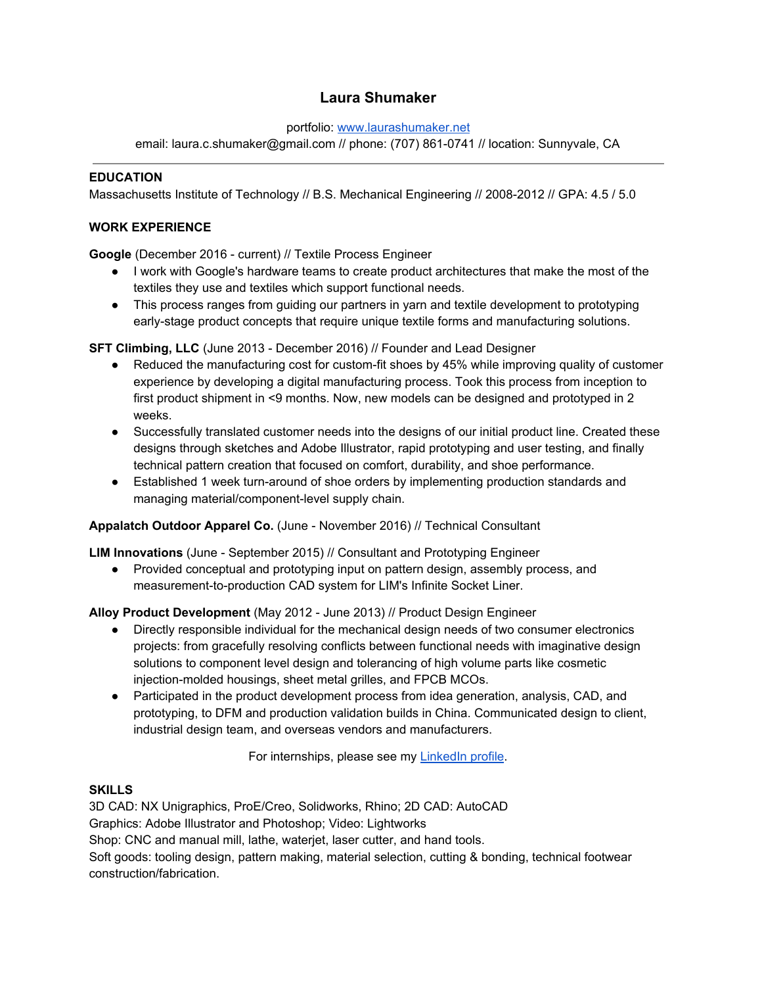## **Laura Shumaker**

portfolio: [www.laurashumaker.net](http://www.laurashumaker.net/)

email: laura.c.shumaker@gmail.com // phone: (707) 861-0741 // location: Sunnyvale, CA

## **EDUCATION**

Massachusetts Institute of Technology // B.S. Mechanical Engineering // 2008-2012 // GPA: 4.5 / 5.0

## **WORK EXPERIENCE**

**Google** (December 2016 - current) // Textile Process Engineer

- I work with Google's hardware teams to create product architectures that make the most of the textiles they use and textiles which support functional needs.
- This process ranges from guiding our partners in yarn and textile development to prototyping early-stage product concepts that require unique textile forms and manufacturing solutions.

**SFT Climbing, LLC** (June 2013 - December 2016) // Founder and Lead Designer

- Reduced the manufacturing cost for custom-fit shoes by 45% while improving quality of customer experience by developing a digital manufacturing process. Took this process from inception to first product shipment in <9 months. Now, new models can be designed and prototyped in 2 weeks.
- Successfully translated customer needs into the designs of our initial product line. Created these designs through sketches and Adobe Illustrator, rapid prototyping and user testing, and finally technical pattern creation that focused on comfort, durability, and shoe performance.
- Established 1 week turn-around of shoe orders by implementing production standards and managing material/component-level supply chain.

**Appalatch Outdoor Apparel Co.** (June - November 2016) // Technical Consultant

**LIM Innovations** (June - September 2015) // Consultant and Prototyping Engineer

● Provided conceptual and prototyping input on pattern design, assembly process, and measurement-to-production CAD system for LIM's Infinite Socket Liner.

**Alloy Product Development** (May 2012 - June 2013) // Product Design Engineer

- Directly responsible individual for the mechanical design needs of two consumer electronics projects: from gracefully resolving conflicts between functional needs with imaginative design solutions to component level design and tolerancing of high volume parts like cosmetic injection-molded housings, sheet metal grilles, and FPCB MCOs.
- Participated in the product development process from idea generation, analysis, CAD, and prototyping, to DFM and production validation builds in China. Communicated design to client, industrial design team, and overseas vendors and manufacturers.

For internships, please see my [LinkedIn](https://www.linkedin.com/in/laura-shumaker-50227641) profile.

## **SKILLS**

3D CAD: NX Unigraphics, ProE/Creo, Solidworks, Rhino; 2D CAD: AutoCAD Graphics: Adobe Illustrator and Photoshop; Video: Lightworks Shop: CNC and manual mill, lathe, waterjet, laser cutter, and hand tools. Soft goods: tooling design, pattern making, material selection, cutting & bonding, technical footwear construction/fabrication.